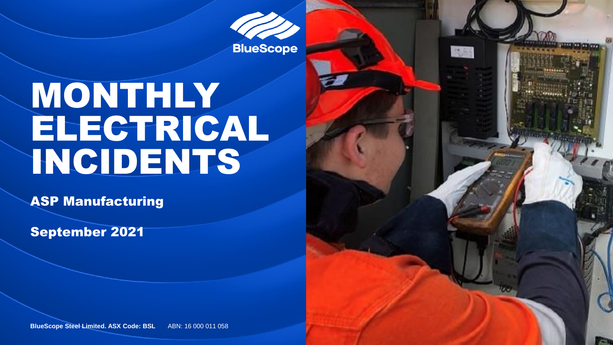**BlueScope** 

高麗

## MONTHLY ELECTRICAL INCIDENTS

ASP Manufacturing

September 2021

**BlueScope Steel Limited. ASX Code: BSL ABN: 16 000 011 058**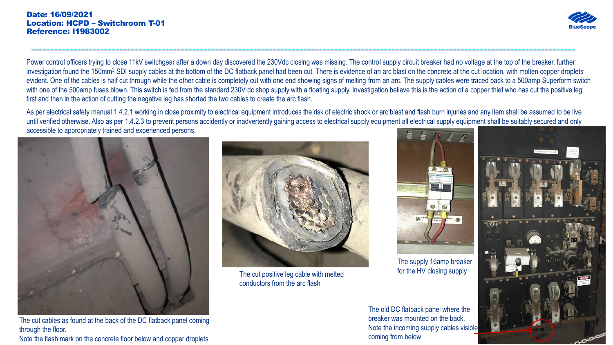

Power control officers trying to close 11kV switchgear after a down day discovered the 230Vdc closing was missing. The control supply circuit breaker had no voltage at the top of the breaker, further investigation found the 150mm<sup>2</sup> SDI supply cables at the bottom of the DC flatback panel had been cut. There is evidence of an arc blast on the concrete at the cut location, with molten copper droplets evident. One of the cables is half cut through while the other cable is completely cut with one end showing signs of melting from an arc. The supply cables were traced back to a 500amp Superform switch with one of the 500amp fuses blown. This switch is fed from the standard 230V dc shop supply with a floating supply. Investigation believe this is the action of a copper thief who has cut the positive leg first and then in the action of cutting the negative leg has shorted the two cables to create the arc flash.

----------------------------------------------------------------------------------------------------------------------------------------------

As per electrical safety manual 1.4.2.1 working in close proximity to electrical equipment introduces the risk of electric shock or arc blast and flash burn injuries and any item shall be assumed to be live until verified otherwise. Also as per 1.4.2.3 to prevent persons accidently or inadvertently gaining access to electrical supply equipment all electrical supply equipment shall be suitably secured and only accessible to appropriately trained and experienced persons.



The cut cables as found at the back of the DC flatback panel coming through the floor. Note the flash mark on the concrete floor below and copper droplets



The cut positive leg cable with melted conductors from the arc flash



The supply 16amp breaker for the HV closing supply

The old DC flatback panel where the breaker was mounted on the back. Note the incoming supply cables visible coming from below

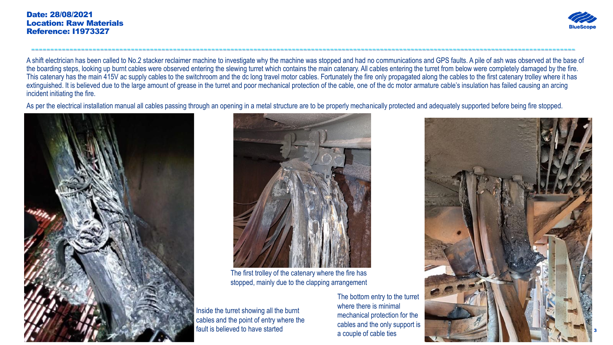

A shift electrician has been called to No.2 stacker reclaimer machine to investigate why the machine was stopped and had no communications and GPS faults. A pile of ash was observed at the base of the boarding steps, looking up burnt cables were observed entering the slewing turret which contains the main catenary. All cables entering the turret from below were completely damaged by the fire. This catenary has the main 415V ac supply cables to the switchroom and the dc long travel motor cables. Fortunately the fire only propagated along the cables to the first catenary trolley where it has extinguished. It is believed due to the large amount of grease in the turret and poor mechanical protection of the cable, one of the dc motor armature cable's insulation has failed causing an arcing incident initiating the fire.

----------------------------------------------------------------------------------------------------------------------------------------------

As per the electrical installation manual all cables passing through an opening in a metal structure are to be properly mechanically protected and adequately supported before being fire stopped.





The first trolley of the catenary where the fire has stopped, mainly due to the clapping arrangement

Inside the turret showing all the burnt cables and the point of entry where the fault is believed to have started

The bottom entry to the turret where there is minimal mechanical protection for the cables and the only support is a couple of cable ties

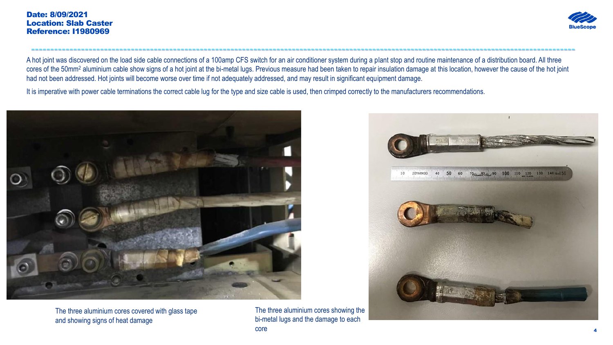

A hot joint was discovered on the load side cable connections of a 100amp CFS switch for an air conditioner system during a plant stop and routine maintenance of a distribution board. All three cores of the 50mm<sup>2</sup> aluminium cable show signs of a hot joint at the bi-metal lugs. Previous measure had been taken to repair insulation damage at this location, however the cause of the hot joint had not been addressed. Hot joints will become worse over time if not adequately addressed, and may result in significant equipment damage.

----------------------------------------------------------------------------------------------------------------------------------------------

It is imperative with power cable terminations the correct cable lug for the type and size cable is used, then crimped correctly to the manufacturers recommendations.



The three aluminium cores covered with glass tape and showing signs of heat damage

The three aluminium cores showing the bi-metal lugs and the damage to each core

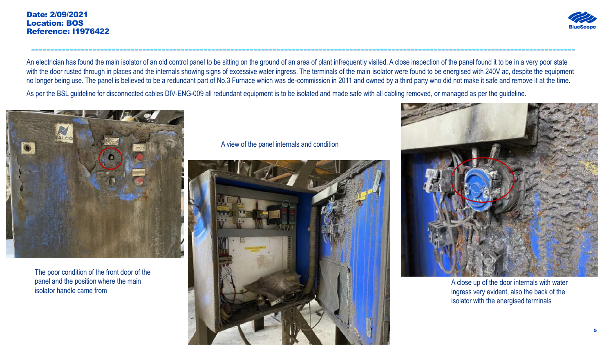

An electrician has found the main isolator of an old control panel to be sitting on the ground of an area of plant infrequently visited. A close inspection of the panel found it to be in a very poor state with the door rusted through in places and the internals showing signs of excessive water ingress. The terminals of the main isolator were found to be energised with 240V ac, despite the equipment no longer being use. The panel is believed to be a redundant part of No.3 Furnace which was de-commission in 2011 and owned by a third party who did not make it safe and remove it at the time.

----------------------------------------------------------------------------------------------------------------------------------------------

As per the BSL guideline for disconnected cables DIV-ENG-009 all redundant equipment is to be isolated and made safe with all cabling removed, or managed as per the guideline.



The poor condition of the front door of the panel and the position where the main isolator handle came from

A view of the panel internals and condition





A close up of the door internals with water ingress very evident, also the back of the isolator with the energised terminals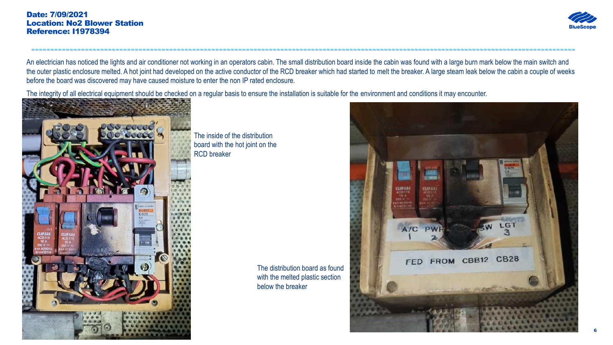

An electrician has noticed the lights and air conditioner not working in an operators cabin. The small distribution board inside the cabin was found with a large burn mark below the main switch and the outer plastic enclosure melted. A hot joint had developed on the active conductor of the RCD breaker which had started to melt the breaker. A large steam leak below the cabin a couple of weeks before the board was discovered may have caused moisture to enter the non IP rated enclosure.

----------------------------------------------------------------------------------------------------------------------------------------------

The integrity of all electrical equipment should be checked on a regular basis to ensure the installation is suitable for the environment and conditions it may encounter.



The inside of the distribution board with the hot joint on the RCD breaker

> The distribution board as found with the melted plastic section below the breaker

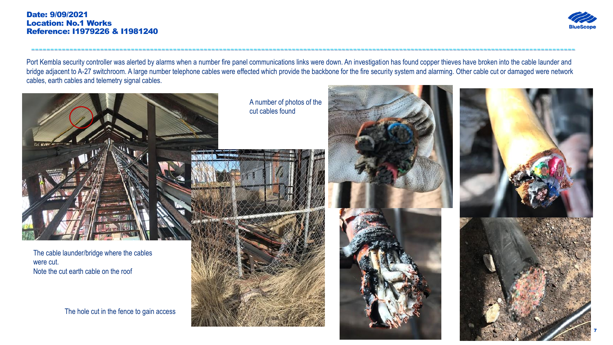## Date: 9/09/2021 Location: No.1 Works Reference: I1979226 & I1981240



Port Kembla security controller was alerted by alarms when a number fire panel communications links were down. An investigation has found copper thieves have broken into the cable launder and bridge adjacent to A-27 switchroom. A large number telephone cables were effected which provide the backbone for the fire security system and alarming. Other cable cut or damaged were network cables, earth cables and telemetry signal cables.

----------------------------------------------------------------------------------------------------------------------------------------------



The cable launder/bridge where the cables were cut. Note the cut earth cable on the roof

The hole cut in the fence to gain access

A number of photos of the cut cables found





7